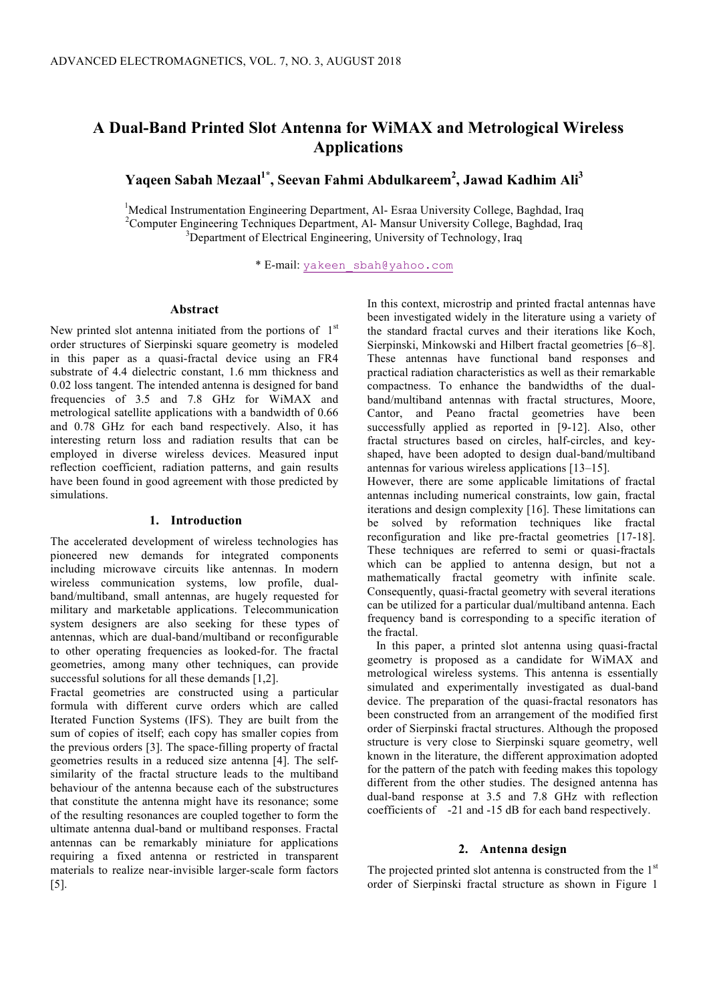# **A Dual-Band Printed Slot Antenna for WiMAX and Metrological Wireless Applications**

**Yaqeen Sabah Mezaal1\*, Seevan Fahmi Abdulkareem2 , Jawad Kadhim Ali3**

<sup>1</sup>Medical Instrumentation Engineering Department, Al- Esraa University College, Baghdad, Iraq<br><sup>2</sup>Computer Engineering Techniques Department, Al-Mangur University College, Baghdad, Iraq <sup>2</sup> Computer Engineering Techniques Department, Al-Mansur University College, Baghdad, Iraq <sup>3</sup>Department of Electrical Engineering, University of Technology, Iraq

\* E-mail: yakeen\_sbah@yahoo.com

# **Abstract**

New printed slot antenna initiated from the portions of  $1<sup>st</sup>$ order structures of Sierpinski square geometry is modeled in this paper as a quasi-fractal device using an FR4 substrate of 4.4 dielectric constant, 1.6 mm thickness and 0.02 loss tangent. The intended antenna is designed for band frequencies of 3.5 and 7.8 GHz for WiMAX and metrological satellite applications with a bandwidth of 0.66 and 0.78 GHz for each band respectively. Also, it has interesting return loss and radiation results that can be employed in diverse wireless devices. Measured input reflection coefficient, radiation patterns, and gain results have been found in good agreement with those predicted by simulations.

#### **1. Introduction**

The accelerated development of wireless technologies has pioneered new demands for integrated components including microwave circuits like antennas. In modern wireless communication systems, low profile, dualband/multiband, small antennas, are hugely requested for military and marketable applications. Telecommunication system designers are also seeking for these types of antennas, which are dual-band/multiband or reconfigurable to other operating frequencies as looked-for. The fractal geometries, among many other techniques, can provide successful solutions for all these demands [1,2].

Fractal geometries are constructed using a particular formula with different curve orders which are called Iterated Function Systems (IFS). They are built from the sum of copies of itself; each copy has smaller copies from the previous orders [3]. The space-filling property of fractal geometries results in a reduced size antenna [4]. The selfsimilarity of the fractal structure leads to the multiband behaviour of the antenna because each of the substructures that constitute the antenna might have its resonance; some of the resulting resonances are coupled together to form the ultimate antenna dual-band or multiband responses. Fractal antennas can be remarkably miniature for applications requiring a fixed antenna or restricted in transparent materials to realize near-invisible larger-scale form factors [5].

In this context, microstrip and printed fractal antennas have been investigated widely in the literature using a variety of the standard fractal curves and their iterations like Koch, Sierpinski, Minkowski and Hilbert fractal geometries [6–8]. These antennas have functional band responses and practical radiation characteristics as well as their remarkable compactness. To enhance the bandwidths of the dualband/multiband antennas with fractal structures, Moore, Cantor, and Peano fractal geometries have been successfully applied as reported in [9-12]. Also, other fractal structures based on circles, half-circles, and keyshaped, have been adopted to design dual-band/multiband antennas for various wireless applications [13–15].

However, there are some applicable limitations of fractal antennas including numerical constraints, low gain, fractal iterations and design complexity [16]. These limitations can be solved by reformation techniques like fractal reconfiguration and like pre-fractal geometries [17-18]. These techniques are referred to semi or quasi-fractals which can be applied to antenna design, but not a mathematically fractal geometry with infinite scale. Consequently, quasi-fractal geometry with several iterations can be utilized for a particular dual/multiband antenna. Each frequency band is corresponding to a specific iteration of the fractal.

 In this paper, a printed slot antenna using quasi-fractal geometry is proposed as a candidate for WiMAX and metrological wireless systems. This antenna is essentially simulated and experimentally investigated as dual-band device. The preparation of the quasi-fractal resonators has been constructed from an arrangement of the modified first order of Sierpinski fractal structures. Although the proposed structure is very close to Sierpinski square geometry, well known in the literature, the different approximation adopted for the pattern of the patch with feeding makes this topology different from the other studies. The designed antenna has dual-band response at 3.5 and 7.8 GHz with reflection coefficients of -21 and -15 dB for each band respectively.

### **2. Antenna design**

The projected printed slot antenna is constructed from the  $1<sup>st</sup>$ order of Sierpinski fractal structure as shown in Figure 1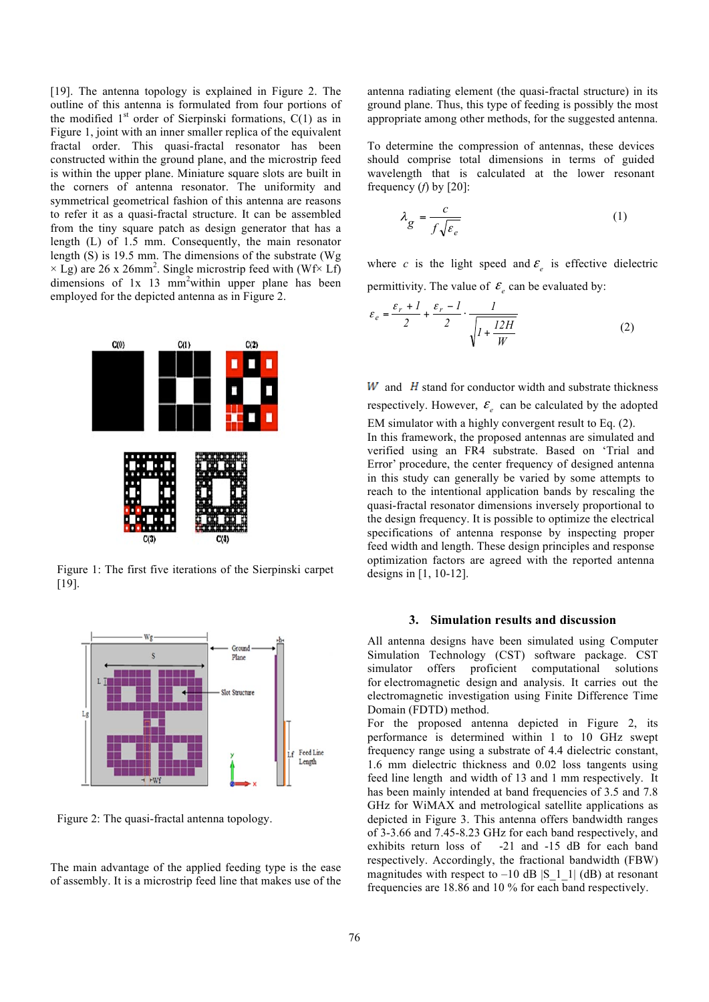[19]. The antenna topology is explained in Figure 2. The outline of this antenna is formulated from four portions of the modified  $1<sup>st</sup>$  order of Sierpinski formations,  $C(1)$  as in Figure 1, joint with an inner smaller replica of the equivalent fractal order. This quasi-fractal resonator has been constructed within the ground plane, and the microstrip feed is within the upper plane. Miniature square slots are built in the corners of antenna resonator. The uniformity and symmetrical geometrical fashion of this antenna are reasons to refer it as a quasi-fractal structure. It can be assembled from the tiny square patch as design generator that has a length (L) of 1.5 mm. Consequently, the main resonator length (S) is 19.5 mm. The dimensions of the substrate (Wg  $\times$  Lg) are 26 x 26mm<sup>2</sup>. Single microstrip feed with (Wf $\times$  Lf) dimensions of 1x 13 mm<sup>2</sup> within upper plane has been employed for the depicted antenna as in Figure 2.



Figure 1: The first five iterations of the Sierpinski carpet [19].



Figure 2: The quasi-fractal antenna topology.

The main advantage of the applied feeding type is the ease of assembly. It is a microstrip feed line that makes use of the antenna radiating element (the quasi-fractal structure) in its ground plane. Thus, this type of feeding is possibly the most appropriate among other methods, for the suggested antenna.

To determine the compression of antennas, these devices should comprise total dimensions in terms of guided wavelength that is calculated at the lower resonant frequency (*f*) by [20]:

$$
\lambda_g = \frac{c}{f\sqrt{\varepsilon_e}}\tag{1}
$$

where *c* is the light speed and  $\epsilon$  is effective dielectric permittivity. The value of  $\mathcal{E}_{\rho}$  can be evaluated by:

$$
\varepsilon_e = \frac{\varepsilon_r + l}{2} + \frac{\varepsilon_r - l}{2} \cdot \frac{l}{\sqrt{l + \frac{l2H}{W}}}
$$
(2)

 $W$  and  $H$  stand for conductor width and substrate thickness respectively. However,  $\mathcal{E}_{e}$  can be calculated by the adopted

EM simulator with a highly convergent result to Eq. (2). In this framework, the proposed antennas are simulated and verified using an FR4 substrate. Based on 'Trial and Error' procedure, the center frequency of designed antenna in this study can generally be varied by some attempts to reach to the intentional application bands by rescaling the quasi-fractal resonator dimensions inversely proportional to the design frequency. It is possible to optimize the electrical specifications of antenna response by inspecting proper feed width and length. These design principles and response optimization factors are agreed with the reported antenna designs in [1, 10-12].

#### **3. Simulation results and discussion**

All antenna designs have been simulated using Computer Simulation Technology (CST) software package. CST simulator offers proficient computational solutions for electromagnetic design and analysis. It carries out the electromagnetic investigation using Finite Difference Time Domain (FDTD) method.

For the proposed antenna depicted in Figure 2, its performance is determined within 1 to 10 GHz swept frequency range using a substrate of 4.4 dielectric constant, 1.6 mm dielectric thickness and 0.02 loss tangents using feed line length and width of 13 and 1 mm respectively. It has been mainly intended at band frequencies of 3.5 and 7.8 GHz for WiMAX and metrological satellite applications as depicted in Figure 3. This antenna offers bandwidth ranges of 3-3.66 and 7.45-8.23 GHz for each band respectively, and exhibits return loss of -21 and -15 dB for each band respectively. Accordingly, the fractional bandwidth (FBW) magnitudes with respect to  $-10$  dB |S 1 1| (dB) at resonant frequencies are 18.86 and 10 % for each band respectively.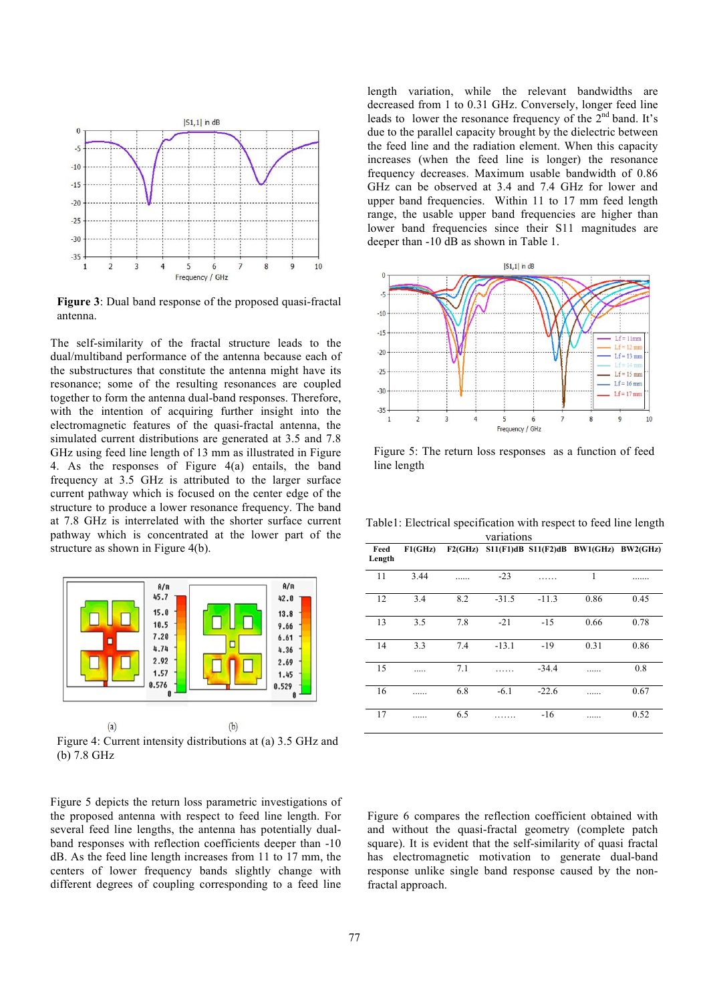

**Figure 3**: Dual band response of the proposed quasi-fractal antenna.

The self-similarity of the fractal structure leads to the dual/multiband performance of the antenna because each of the substructures that constitute the antenna might have its resonance; some of the resulting resonances are coupled together to form the antenna dual-band responses. Therefore, with the intention of acquiring further insight into the electromagnetic features of the quasi-fractal antenna, the simulated current distributions are generated at 3.5 and 7.8 GHz using feed line length of 13 mm as illustrated in Figure 4. As the responses of Figure 4(a) entails, the band frequency at 3.5 GHz is attributed to the larger surface current pathway which is focused on the center edge of the structure to produce a lower resonance frequency. The band at 7.8 GHz is interrelated with the shorter surface current pathway which is concentrated at the lower part of the structure as shown in Figure 4(b).



Figure 4: Current intensity distributions at (a) 3.5 GHz and (b) 7.8 GHz

Figure 5 depicts the return loss parametric investigations of the proposed antenna with respect to feed line length. For several feed line lengths, the antenna has potentially dualband responses with reflection coefficients deeper than -10 dB. As the feed line length increases from 11 to 17 mm, the centers of lower frequency bands slightly change with different degrees of coupling corresponding to a feed line

length variation, while the relevant bandwidths are decreased from 1 to 0.31 GHz. Conversely, longer feed line leads to lower the resonance frequency of the  $2<sup>nd</sup>$  band. It's due to the parallel capacity brought by the dielectric between the feed line and the radiation element. When this capacity increases (when the feed line is longer) the resonance frequency decreases. Maximum usable bandwidth of 0.86 GHz can be observed at 3.4 and 7.4 GHz for lower and upper band frequencies. Within 11 to 17 mm feed length range, the usable upper band frequencies are higher than lower band frequencies since their S11 magnitudes are deeper than -10 dB as shown in Table 1.



Figure 5: The return loss responses as a function of feed line length

Table1: Electrical specification with respect to feed line length variations

| Feed<br>Length | F1(GHz) |     |         |         | F2(GHz) S11(F1)dB S11(F2)dB BW1(GHz) BW2(GHz) |      |
|----------------|---------|-----|---------|---------|-----------------------------------------------|------|
| 11             | 3.44    |     | $-23$   |         | 1                                             |      |
| 12             | 3.4     | 8.2 | $-31.5$ | $-11.3$ | 0.86                                          | 0.45 |
| 13             | 3.5     | 7.8 | $-21$   | $-15$   | 0.66                                          | 0.78 |
| 14             | 3.3     | 7.4 | $-13.1$ | $-19$   | 0.31                                          | 0.86 |
| 15             |         | 7.1 |         | $-34.4$ |                                               | 0.8  |
| 16             |         | 6.8 | $-6.1$  | $-22.6$ |                                               | 0.67 |
| 17             |         | 6.5 |         | $-16$   |                                               | 0.52 |

Figure 6 compares the reflection coefficient obtained with and without the quasi-fractal geometry (complete patch square). It is evident that the self-similarity of quasi fractal has electromagnetic motivation to generate dual-band response unlike single band response caused by the nonfractal approach.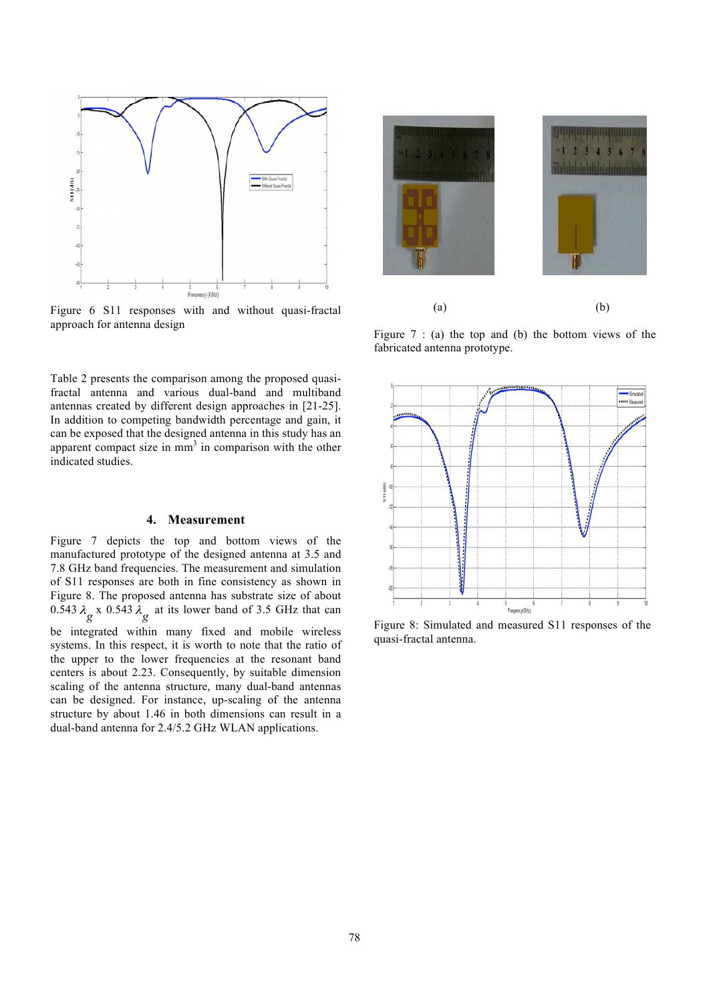

Figure 6 S11 responses with and without quasi-fractal approach for antenna design

 $(a)$  (b)

Figure  $7$ : (a) the top and (b) the bottom views of the fabricated antenna prototype.

Table 2 presents the comparison among the proposed quasifractal antenna and various dual-band and multiband antennas created by different design approaches in [21-25]. In addition to competing bandwidth percentage and gain, it can be exposed that the designed antenna in this study has an apparent compact size in mm<sup>3</sup> in comparison with the other indicated studies.

## **4. Measurement**

Figure 7 depicts the top and bottom views of the manufactured prototype of the designed antenna at 3.5 and 7.8 GHz band frequencies. The measurement and simulation of S11 responses are both in fine consistency as shown in Figure 8. The proposed antenna has substrate size of about 0.543  $\lambda_g$  x 0.543  $\lambda_g$  at its lower band of 3.5 GHz that can be integrated within many fixed and mobile wireless systems. In this respect, it is worth to note that the ratio of the upper to the lower frequencies at the resonant band centers is about 2.23. Consequently, by suitable dimension scaling of the antenna structure, many dual-band antennas can be designed. For instance, up-scaling of the antenna structure by about 1.46 in both dimensions can result in a dual-band antenna for 2.4/5.2 GHz WLAN applications.



Figure 8: Simulated and measured S11 responses of the quasi-fractal antenna.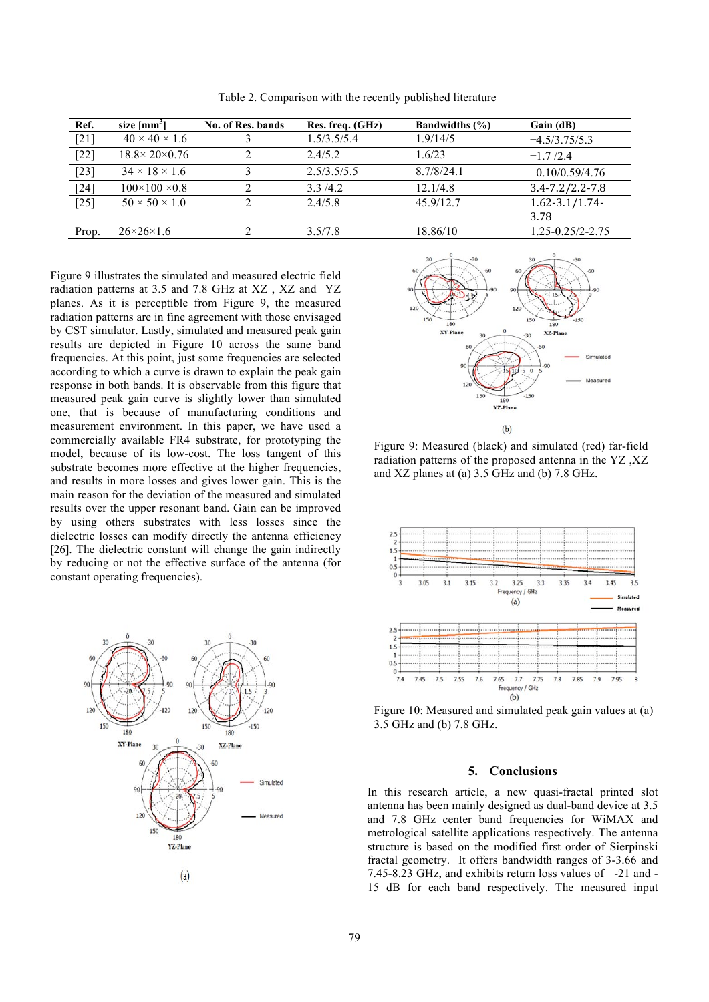| Ref.   | size [mm <sup>3</sup> ]      | No. of Res. bands | Res. freq. (GHz) | <b>Bandwidths</b> (%) | Gain (dB)               |
|--------|------------------------------|-------------------|------------------|-----------------------|-------------------------|
| $[21]$ | $40 \times 40 \times 1.6$    |                   | 1.5/3.5/5.4      | 1.9/14/5              | $-4.5/3.75/5.3$         |
| $[22]$ | $18.8 \times 20 \times 0.76$ |                   | 2.4/5.2          | 1.6/23                | $-17/24$                |
| $[23]$ | $34 \times 18 \times 1.6$    |                   | 2.5/3.5/5.5      | 8.7/8/24.1            | $-0.10/0.59/4.76$       |
| $[24]$ | $100 \times 100 \times 0.8$  |                   | 3.3/4.2          | 12.1/4.8              | $3.4 - 7.2 / 2.2 - 7.8$ |
| $[25]$ | $50 \times 50 \times 1.0$    |                   | 2.4/5.8          | 45 9/12 7             | $1.62 - 3.1/1.74$       |
|        |                              |                   |                  |                       | 3.78                    |
| Prop.  | $26 \times 26 \times 1.6$    |                   | 3.5/7.8          | 18.86/10              | $1.25 - 0.25/2 - 2.75$  |
|        |                              |                   |                  |                       |                         |

Table 2. Comparison with the recently published literature

Figure 9 illustrates the simulated and measured electric field radiation patterns at 3.5 and 7.8 GHz at XZ , XZ and YZ planes. As it is perceptible from Figure 9, the measured radiation patterns are in fine agreement with those envisaged by CST simulator. Lastly, simulated and measured peak gain results are depicted in Figure 10 across the same band frequencies. At this point, just some frequencies are selected according to which a curve is drawn to explain the peak gain response in both bands. It is observable from this figure that measured peak gain curve is slightly lower than simulated one, that is because of manufacturing conditions and measurement environment. In this paper, we have used a commercially available FR4 substrate, for prototyping the model, because of its low-cost. The loss tangent of this substrate becomes more effective at the higher frequencies, and results in more losses and gives lower gain. This is the main reason for the deviation of the measured and simulated results over the upper resonant band. Gain can be improved by using others substrates with less losses since the dielectric losses can modify directly the antenna efficiency [26]. The dielectric constant will change the gain indirectly by reducing or not the effective surface of the antenna (for constant operating frequencies).





Figure 9: Measured (black) and simulated (red) far-field radiation patterns of the proposed antenna in the YZ ,XZ and XZ planes at (a) 3.5 GHz and (b) 7.8 GHz.



Figure 10: Measured and simulated peak gain values at (a) 3.5 GHz and (b) 7.8 GHz.

# **5. Conclusions**

In this research article, a new quasi-fractal printed slot antenna has been mainly designed as dual-band device at 3.5 and 7.8 GHz center band frequencies for WiMAX and metrological satellite applications respectively. The antenna structure is based on the modified first order of Sierpinski fractal geometry. It offers bandwidth ranges of 3-3.66 and 7.45-8.23 GHz, and exhibits return loss values of -21 and - 15 dB for each band respectively. The measured input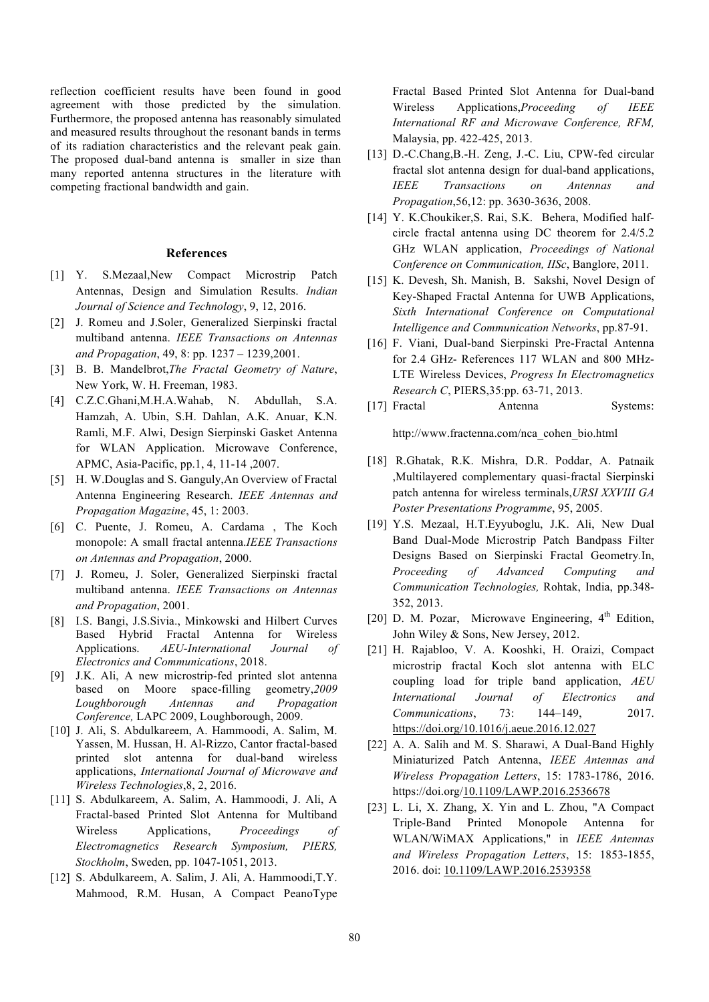reflection coefficient results have been found in good agreement with those predicted by the simulation. Furthermore, the proposed antenna has reasonably simulated and measured results throughout the resonant bands in terms of its radiation characteristics and the relevant peak gain. The proposed dual-band antenna is smaller in size than many reported antenna structures in the literature with competing fractional bandwidth and gain.

## **References**

- [1] Y. S.Mezaal,New Compact Microstrip Patch Antennas, Design and Simulation Results. *Indian Journal of Science and Technology*, 9, 12, 2016.
- [2] J. Romeu and J.Soler, Generalized Sierpinski fractal multiband antenna. *IEEE Transactions on Antennas and Propagation*, 49, 8: pp. 1237 – 1239,2001.
- [3] B. B. Mandelbrot,*The Fractal Geometry of Nature*, New York, W. H. Freeman, 1983.
- [4] C.Z.C.Ghani,M.H.A.Wahab, N. Abdullah, S.A. Hamzah, A. Ubin, S.H. Dahlan, A.K. Anuar, K.N. Ramli, M.F. Alwi, Design Sierpinski Gasket Antenna for WLAN Application. Microwave Conference, APMC, Asia-Pacific, pp.1, 4, 11-14 ,2007.
- [5] H. W.Douglas and S. Ganguly,An Overview of Fractal Antenna Engineering Research. *IEEE Antennas and Propagation Magazine*, 45, 1: 2003.
- [6] C. Puente, J. Romeu, A. Cardama , The Koch monopole: A small fractal antenna.*IEEE Transactions on Antennas and Propagation*, 2000.
- [7] J. Romeu, J. Soler, Generalized Sierpinski fractal multiband antenna. *IEEE Transactions on Antennas and Propagation*, 2001.
- [8] I.S. Bangi, J.S.Sivia., Minkowski and Hilbert Curves Based Hybrid Fractal Antenna for Wireless Applications. *AEU-International Journal of Electronics and Communications*, 2018.
- [9] J.K. Ali, A new microstrip-fed printed slot antenna based on Moore space-filling geometry,*2009 Loughborough Antennas and Propagation Conference,* LAPC 2009, Loughborough, 2009.
- [10] J. Ali, S. Abdulkareem, A. Hammoodi, A. Salim, M. Yassen, M. Hussan, H. Al-Rizzo, Cantor fractal-based printed slot antenna for dual-band wireless applications, *International Journal of Microwave and Wireless Technologies*,8, 2, 2016.
- [11] S. Abdulkareem, A. Salim, A. Hammoodi, J. Ali, A Fractal-based Printed Slot Antenna for Multiband Wireless Applications, *Proceedings of Electromagnetics Research Symposium, PIERS, Stockholm*, Sweden, pp. 1047-1051, 2013.
- [12] S. Abdulkareem, A. Salim, J. Ali, A. Hammoodi,T.Y. Mahmood, R.M. Husan, A Compact PeanoType

Fractal Based Printed Slot Antenna for Dual-band Wireless Applications,*Proceeding of IEEE International RF and Microwave Conference, RFM,* Malaysia, pp. 422-425, 2013.

- [13] D.-C.Chang, B.-H. Zeng, J.-C. Liu, CPW-fed circular fractal slot antenna design for dual-band applications, *IEEE Transactions on Antennas and Propagation*,56,12: pp. 3630-3636, 2008.
- [14] Y. K.Choukiker, S. Rai, S.K. Behera, Modified halfcircle fractal antenna using DC theorem for 2.4/5.2 GHz WLAN application, *Proceedings of National Conference on Communication, IISc*, Banglore, 2011.
- [15] K. Devesh, Sh. Manish, B. Sakshi, Novel Design of Key-Shaped Fractal Antenna for UWB Applications, *Sixth International Conference on Computational Intelligence and Communication Networks*, pp.87-91.
- [16] F. Viani, Dual-band Sierpinski Pre-Fractal Antenna for 2.4 GHz- References 117 WLAN and 800 MHz-LTE Wireless Devices, *Progress In Electromagnetics Research C*, PIERS,35:pp. 63-71, 2013.
- [17] Fractal Antenna Systems:

http://www.fractenna.com/nca\_cohen\_bio.html

- [18] R.Ghatak, R.K. Mishra, D.R. Poddar, A. Patnaik ,Multilayered complementary quasi-fractal Sierpinski patch antenna for wireless terminals,*URSI XXVIII GA Poster Presentations Programme*, 95, 2005.
- [19] Y.S. Mezaal, H.T.Eyyuboglu, J.K. Ali, New Dual Band Dual-Mode Microstrip Patch Bandpass Filter Designs Based on Sierpinski Fractal Geometry*.*In, *Proceeding of Advanced Computing and Communication Technologies,* Rohtak, India, pp.348- 352, 2013.
- [20] D. M. Pozar, Microwave Engineering, 4<sup>th</sup> Edition, John Wiley & Sons, New Jersey, 2012.
- [21] H. Rajabloo, V. A. Kooshki, H. Oraizi, Compact microstrip fractal Koch slot antenna with ELC coupling load for triple band application, *AEU International Journal of Electronics and Communications*, 73: 144–149, 2017. https://doi.org/10.1016/j.aeue.2016.12.027
- [22] A. A. Salih and M. S. Sharawi, A Dual-Band Highly Miniaturized Patch Antenna, *IEEE Antennas and Wireless Propagation Letters*, 15: 1783-1786, 2016. https://doi.org/10.1109/LAWP.2016.2536678
- [23] L. Li, X. Zhang, X. Yin and L. Zhou, "A Compact Triple-Band Printed Monopole Antenna for WLAN/WiMAX Applications," in *IEEE Antennas and Wireless Propagation Letters*, 15: 1853-1855, 2016. doi: 10.1109/LAWP.2016.2539358